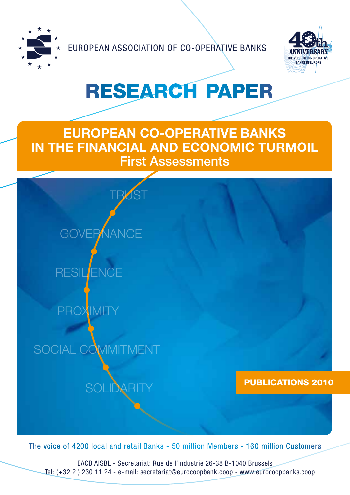

EUROPEAN ASSOCIATION OF CO-OPERATIVE BANKS



# RESEARCH PAPER

# **EUROPEAN CO-OPERATIVE BANKS IN THE FINANCIAL AND ECONOMIC TURMOIL** First Assessments



The voice of 4200 local and retail Banks - 50 million Members - 160 million Customers

EACB AISBL - Secretariat: Rue de l'Industrie 26-38 B-1040 Brussels Tel: (+32 2 ) 230 11 24 - e-mail: secretariat@eurocoopbank.coop - www.eurocoopbanks.coop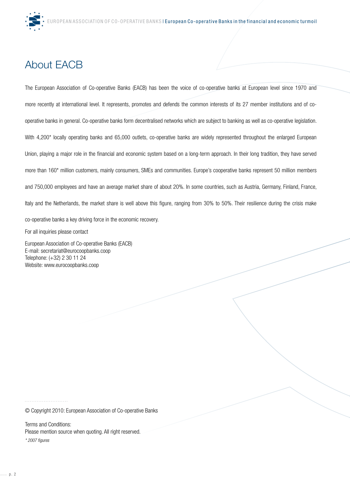# About EACB

The European Association of Co-operative Banks (EACB) has been the voice of co-operative banks at European level since 1970 and more recently at international level. It represents, promotes and defends the common interests of its 27 member institutions and of cooperative banks in general. Co-operative banks form decentralised networks which are subject to banking as well as co-operative legislation. With 4,200<sup>\*</sup> locally operating banks and 65,000 outlets, co-operative banks are widely represented throughout the enlarged European Union, playing a major role in the financial and economic system based on a long-term approach. In their long tradition, they have served more than 160\* million customers, mainly consumers, SMEs and communities. Europe's cooperative banks represent 50 million members and 750,000 employees and have an average market share of about 20%. In some countries, such as Austria, Germany, Finland, France, Italy and the Netherlands, the market share is well above this figure, ranging from 30% to 50%. Their resilience during the crisis make co-operative banks a key driving force in the economic recovery. For all inquiries please contact

European Association of Co-operative Banks (EACB) E-mail: secretariat@eurocoopbanks.coop Telephone: (+32) 2 30 11 24 Website: www.eurocoopbanks.coop

© Copyright 2010: European Association of Co-operative Banks

Terms and Conditions: Please mention source when quoting. All right reserved.

*\* 2007 figures*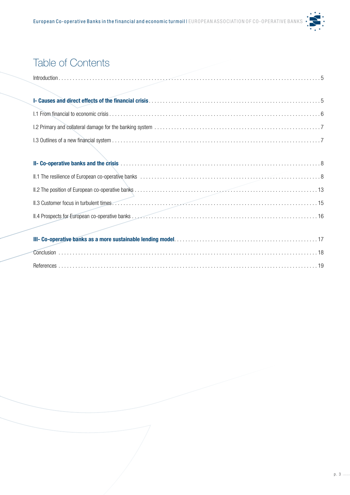

# Table of Contents

| Conclusion |  |  |  |  |  |  |  |  |  |  |  |  |  |  |  |  |  |  |
|------------|--|--|--|--|--|--|--|--|--|--|--|--|--|--|--|--|--|--|
| References |  |  |  |  |  |  |  |  |  |  |  |  |  |  |  |  |  |  |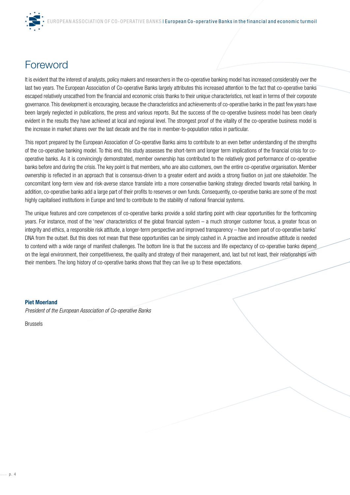

# Foreword

It is evident that the interest of analysts, policy makers and researchers in the co-operative banking model has increased considerably over the last two years. The European Association of Co-operative Banks largely attributes this increased attention to the fact that co-operative banks escaped relatively unscathed from the financial and economic crisis thanks to their unique characteristics, not least in terms of their corporate governance. This development is encouraging, because the characteristics and achievements of co-operative banks in the past few years have been largely neglected in publications, the press and various reports. But the success of the co-operative business model has been clearly evident in the results they have achieved at local and regional level. The strongest proof of the vitality of the co-operative business model is the increase in market shares over the last decade and the rise in member-to-population ratios in particular.

This report prepared by the European Association of Co-operative Banks aims to contribute to an even better understanding of the strengths of the co-operative banking model. To this end, this study assesses the short-term and longer term implications of the financial crisis for cooperative banks. As it is convincingly demonstrated, member ownership has contributed to the relatively good performance of co-operative banks before and during the crisis. The key point is that members, who are also customers, own the entire co-operative organisation. Member ownership is reflected in an approach that is consensus-driven to a greater extent and avoids a strong fixation on just one stakeholder. The concomitant long-term view and risk-averse stance translate into a more conservative banking strategy directed towards retail banking. In addition, co-operative banks add a large part of their profits to reserves or own funds. Consequently, co-operative banks are some of the most highly capitalised institutions in Europe and tend to contribute to the stability of national financial systems.

The unique features and core competences of co-operative banks provide a solid starting point with clear opportunities for the forthcoming years. For instance, most of the 'new' characteristics of the global financial system – a much stronger customer focus, a greater focus on integrity and ethics, a responsible risk attitude, a longer-term perspective and improved transparency – have been part of co-operative banks' DNA from the outset. But this does not mean that these opportunities can be simply cashed in. A proactive and innovative attitude is needed to contend with a wide range of manifest challenges. The bottom line is that the success and life expectancy of co-operative banks depend on the legal environment, their competitiveness, the quality and strategy of their management, and, last but not least, their relationships with their members. The long history of co-operative banks shows that they can live up to these expectations.

#### **Piet Moerland**

*President of the European Association of Co-operative Banks*

Brussels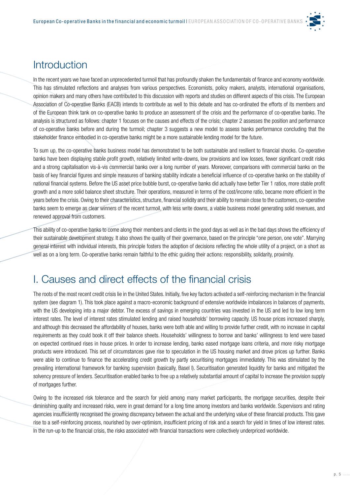

### **Introduction**

In the recent years we have faced an unprecedented turmoil that has profoundly shaken the fundamentals of finance and economy worldwide. This has stimulated reflections and analyses from various perspectives. Economists, policy makers, analysts, international organisations, opinion makers and many others have contributed to this discussion with reports and studies on different aspects of this crisis. The European Association of Co-operative Banks (EACB) intends to contribute as well to this debate and has co-ordinated the efforts of its members and of the European think tank on co-operative banks to produce an assessment of the crisis and the performance of co-operative banks. The analysis is structured as follows: chapter 1 focuses on the causes and effects of the crisis; chapter 2 assesses the position and performance of co-operative banks before and during the turmoil; chapter 3 suggests a new model to assess banks performance concluding that the stakeholder finance embodied in co-operative banks might be a more sustainable lending model for the future.

To sum up, the co-operative banks business model has demonstrated to be both sustainable and resilient to financial shocks. Co-operative banks have been displaying stable profit growth, relatively limited write-downs, low provisions and low losses, fewer significant credit risks and a strong capitalisation vis-à-vis commercial banks over a long number of years. Moreover, comparisons with commercial banks on the basis of key financial figures and simple measures of banking stability indicate a beneficial influence of co-operative banks on the stability of national financial systems. Before the US asset price bubble burst, co-operative banks did actually have better Tier 1 ratios, more stable profit growth and a more solid balance sheet structure. Their operations, measured in terms of the cost/income ratio, became more efficient in the years before the crisis. Owing to their characteristics, structure, financial solidity and their ability to remain close to the customers, co-operative banks seem to emerge as clear winners of the recent turmoil, with less write downs, a viable business model generating solid revenues, and renewed approval from customers.

This ability of co-operative banks to come along their members and clients in the good days as well as in the bad days shows the efficiency of their sustainable development strategy. It also shows the quality of their governance, based on the principle "one person, one vote". Marrying general interest with individual interests, this principle fosters the adoption of decisions reflecting the whole utility of a project, on a short as well as on a long term. Co-operative banks remain faithful to the ethic guiding their actions: responsibility, solidarity, proximity.

## I. Causes and direct effects of the financial crisis

The roots of the most recent credit crisis lie in the United States. Initially, five key factors activated a self-reinforcing mechanism in the financial system (see diagram 1). This took place against a macro-economic background of extensive worldwide imbalances in balances of payments, with the US developing into a major debtor. The excess of savings in emerging countries was invested in the US and led to low long term interest rates. The level of interest rates stimulated lending and raised households' borrowing capacity. US house prices increased sharply, and although this decreased the affordability of houses, banks were both able and willing to provide further credit, with no increase in capital requirements as they could book it off their balance sheets. Households' willingness to borrow and banks' willingness to lend were based on expected continued rises in house prices. In order to increase lending, banks eased mortgage loans criteria, and more risky mortgage products were introduced. This set of circumstances gave rise to speculation in the US housing market and drove prices up further. Banks were able to continue to finance the accelerating credit growth by partly securitising mortgages immediately. This was stimulated by the prevailing international framework for banking supervision (basically, Basel I). Securitisation generated liquidity for banks and mitigated the solvency pressure of lenders. Securitisation enabled banks to free up a relatively substantial amount of capital to increase the provision supply of mortgages further.

Owing to the increased risk tolerance and the search for yield among many market participants, the mortgage securities, despite their diminishing quality and increased risks, were in great demand for a long time among investors and banks worldwide. Supervisors and rating agencies insufficiently recognised the growing discrepancy between the actual and the underlying value of these financial products. This gave rise to a self-reinforcing process, nourished by over-optimism, insufficient pricing of risk and a search for yield in times of low interest rates. In the run-up to the financial crisis, the risks associated with financial transactions were collectively underpriced worldwide.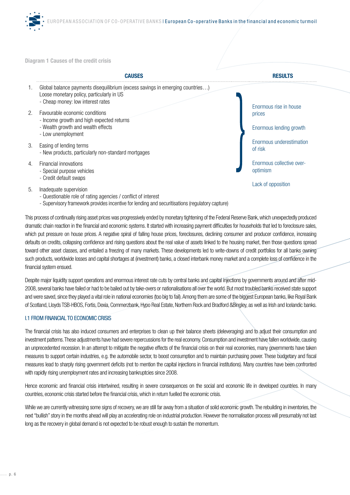

**Diagram 1 Causes of the credit crisis** 



This process of continually rising asset prices was progressively ended by monetary tightening of the Federal Reserve Bank, which unexpectedly produced dramatic chain reaction in the financial and economic systems. It started with increasing payment difficulties for households that led to foreclosure sales, which put pressure on house prices. A negative spiral of falling house prices, foreclosures, declining consumer and producer confidence, increasing defaults on credits, collapsing confidence and rising questions about the real value of assets linked to the housing market, then those questions spread toward other asset classes, and entailed a freezing of many markets. These developments led to write-downs of credit portfolios for all banks owning such products, worldwide losses and capital shortages at (investment) banks, a closed interbank money market and a complete loss of confidence in the financial system ensued.

Despite major liquidity support operations and enormous interest rate cuts by central banks and capital injections by governments around and after mid-2008, several banks have failed or had to be bailed out by take-overs or nationalisations all over the world. But most troubled banks received state support and were saved, since they played a vital role in national economies (too big to fail). Among them are some of the biggest European banks, like Royal Bank of Scotland, Lloyds TSB-HBOS, Fortis, Dexia, Commerzbank, Hypo Real Estate, Northern Rock and Bradford &Bingley, as well as Irish and Icelandic banks.

#### I.1 FROM FINANCIAL TO ECONOMIC CRISIS

The financial crisis has also induced consumers and enterprises to clean up their balance sheets (deleveraging) and to adjust their consumption and investment patterns. These adjustments have had severe repercussions for the real economy. Consumption and investment have fallen worldwide, causing an unprecedented recession. In an attempt to mitigate the negative effects of the financial crisis on their real economies, many governments have taken measures to support certain industries, e.g. the automobile sector, to boost consumption and to maintain purchasing power. These budgetary and fiscal measures lead to sharply rising government deficits (not to mention the capital injections in financial institutions). Many countries have been confronted with rapidly rising unemployment rates and increasing bankruptcies since 2008.

Hence economic and financial crisis intertwined, resulting in severe consequences on the social and economic life in developed countries. In many countries, economic crisis started before the financial crisis, which in return fuelled the economic crisis.

While we are currently witnessing some signs of recovery, we are still far away from a situation of solid economic growth. The rebuilding in inventories, the next "bullish" story in the months ahead will play an accelerating role on industrial production. However the normalisation process will presumably not last long as the recovery in global demand is not expected to be robust enough to sustain the momentum.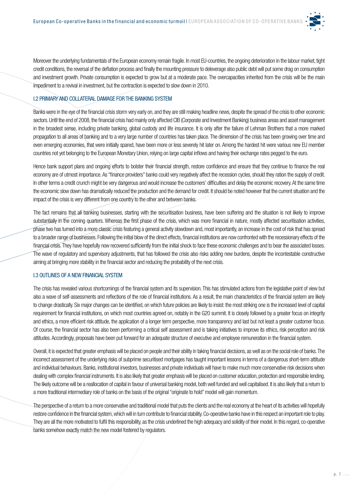

Moreover the underlying fundamentals of the European economy remain fragile. In most EU-countries, the ongoing deterioration in the labour market, tight credit conditions, the reversal of the deflation process and finally the mounting pressure to deleverage also public debt will put some drag on consumption and investment growth. Private consumption is expected to grow but at a moderate pace. The overcapacities inherited from the crisis will be the main impediment to a revival in investment, but the contraction is expected to slow down in 2010.

#### I.2 PRIMARY AND COLLATERAL DAMAGE FOR THE BANKING SYSTEM

Banks were in the eye of the financial crisis storm very early on, and they are still making headline news, despite the spread of the crisis to other economic sectors. Until the end of 2008, the financial crisis had mainly only affected CIB (Corporate and Investment Banking) business areas and asset management in the broadest sense, including private banking, global custody and life insurance. It is only after the failure of Lehman Brothers that a more marked propagation to all areas of banking and to a very large number of countries has taken place. The dimension of the crisis has been growing over time and even emerging economies, that were initially spared, have been more or less severely hit later on. Among the hardest hit were various new EU member countries not yet belonging to the European Monetary Union, relying on large capital inflows and having their exchange rates pegged to the euro.

Hence bank support plans and ongoing efforts to bolster their financial strength, restore confidence and ensure that they continue to finance the real economy are of utmost importance. As "finance providers" banks could very negatively affect the recession cycles, should they ration the supply of credit. In other terms a credit crunch might be very dangerous and would increase the customers' difficulties and delay the economic recovery. At the same time the economic slow down has dramatically reduced the production and the demand for credit. It should be noted however that the current situation and the impact of the crisis is very different from one country to the other and between banks.

The fact remains that all banking businesses, starting with the securitisation business, have been suffering and the situation is not likely to improve substantially in the coming quarters. Whereas the first phase of the crisis, which was more financial in nature, mostly affected securitisation activities, phase two has turned into a more classic crisis featuring a general activity slowdown and, most importantly, an increase in the cost of risk that has spread to a broader range of businesses. Following the initial blow of the direct effects, financial institutions are now confronted with the recessionary effects of the financial crisis. They have hopefully now recovered sufficiently from the initial shock to face these economic challenges and to bear the associated losses. The wave of regulatory and supervisory adjustments, that has followed the crisis also risks adding new burdens, despite the incontestable constructive aiming at bringing more stability in the financial sector and reducing the probability of the next crisis.

#### I.3 OUTLINES OF A NEW FINANCIAL SYSTEM

The crisis has revealed various shortcomings of the financial system and its supervision. This has stimulated actions from the legislative point of view but also a wave of self-assessments and reflections of the role of financial institutions. As a result, the main characteristics of the financial system are likely to change drastically. Six major changes can be identified, on which future policies are likely to insist: the most striking one is the increased level of capital requirement for financial institutions, on which most countries agreed on, notably in the G20 summit. It is closely followed by a greater focus on integrity and ethics, a more efficient risk attitude, the application of a longer term perspective, more transparency and last but not least a greater customer focus. Of course, the financial sector has also been performing a critical self assessment and is taking initiatives to improve its ethics, risk perception and risk attitudes. Accordingly, proposals have been put forward for an adequate structure of executive and employee remuneration in the financial system.

Overall, it is expected that greater emphasis will be placed on people and their ability in taking financial decisions, as well as on the social role of banks. The incorrect assessment of the underlying risks of subprime securitised mortgages has taught important lessons in terms of a dangerous short-term attitude and individual behaviours. Banks, institutional investors, businesses and private individuals will have to make much more conservative risk decisions when dealing with complex financial instruments. It is also likely that greater emphasis will be placed on customer education, protection and responsible lending. The likely outcome will be a reallocation of capital in favour of universal banking model, both well funded and well capitalised. It is also likely that a return to a more traditional intermediary role of banks on the basis of the original "originate to hold" model will gain momentum.

The perspective of a return to a more conservative and traditional model that puts the clients and the real economy at the heart of its activities will hopefully restore confidence in the financial system, which will in turn contribute to financial stability. Co-operative banks have in this respect an important role to play. They are all the more motivated to fulfil this responsibility, as the crisis underlined the high adequacy and solidity of their model. In this regard, co-operative banks somehow exactly match the new model fostered by regulators.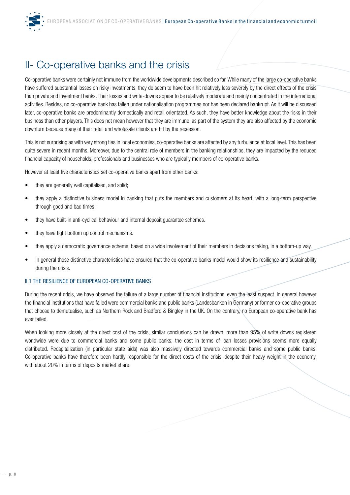

# II- Co-operative banks and the crisis

Co-operative banks were certainly not immune from the worldwide developments described so far. While many of the large co-operative banks have suffered substantial losses on risky investments, they do seem to have been hit relatively less severely by the direct effects of the crisis than private and investment banks. Their losses and write-downs appear to be relatively moderate and mainly concentrated in the international activities. Besides, no co-operative bank has fallen under nationalisation programmes nor has been declared bankrupt. As it will be discussed later, co-operative banks are predominantly domestically and retail orientated. As such, they have better knowledge about the risks in their business than other players. This does not mean however that they are immune: as part of the system they are also affected by the economic downturn because many of their retail and wholesale clients are hit by the recession.

This is not surprising as with very strong ties in local economies, co-operative banks are affected by any turbulence at local level. This has been quite severe in recent months. Moreover, due to the central role of members in the banking relationships, they are impacted by the reduced financial capacity of households, professionals and businesses who are typically members of co-operative banks.

However at least five characteristics set co-operative banks apart from other banks:

- they are generally well capitalised, and solid;
- they apply a distinctive business model in banking that puts the members and customers at its heart, with a long-term perspective through good and bad times;
- they have built-in anti-cyclical behaviour and internal deposit guarantee schemes.
- they have tight bottom up control mechanisms.
- they apply a democratic governance scheme, based on a wide involvement of their members in decisions taking, in a bottom-up way.
- In general those distinctive characteristics have ensured that the co-operative banks model would show its resilience and sustainability during the crisis.

#### II.1 THE RESILIENCE OF EUROPEAN CO-OPERATIVE BANKS

During the recent crisis, we have observed the failure of a large number of financial institutions, even the least suspect. In general however the financial institutions that have failed were commercial banks and public banks (Landesbanken in Germany) or former co-operative groups that choose to demutualise, such as Northern Rock and Bradford & Bingley in the UK. On the contrary, no European co-operative bank has ever failed.

When looking more closely at the direct cost of the crisis, similar conclusions can be drawn: more than 95% of write downs registered worldwide were due to commercial banks and some public banks; the cost in terms of loan losses provisions seems more equally distributed. Recapitalization (in particular state aids) was also massively directed towards commercial banks and some public banks. Co-operative banks have therefore been hardly responsible for the direct costs of the crisis, despite their heavy weight in the economy, with about 20% in terms of deposits market share.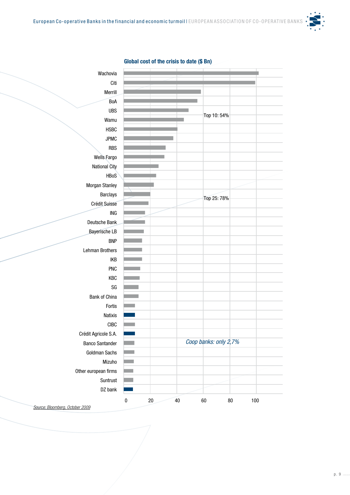

| Global cost of the crisis to date (\$ Bn) |  |  |  |
|-------------------------------------------|--|--|--|



*Source: Bloomberg, October 2009*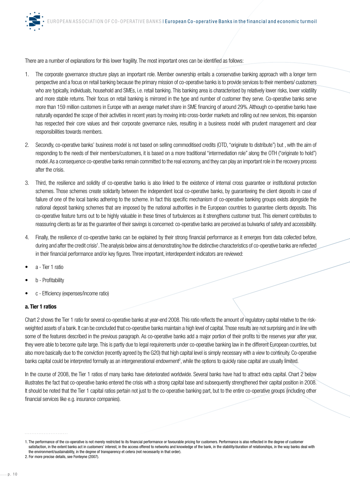There are a number of explanations for this lower fragility. The most important ones can be identified as follows:

- 1. The corporate governance structure plays an important role. Member ownership entails a conservative banking approach with a longer term perspective and a focus on retail banking because the primary mission of co-operative banks is to provide services to their members/ customers who are typically, individuals, household and SMEs, i.e. retail banking. This banking area is characterised by relatively lower risks, lower volatility and more stable returns. Their focus on retail banking is mirrored in the type and number of customer they serve. Co-operative banks serve more than 159 million customers in Europe with an average market share in SME financing of around 29%. Although co-operative banks have naturally expanded the scope of their activities in recent years by moving into cross-border markets and rolling out new services, this expansion has respected their core values and their corporate governance rules, resulting in a business model with prudent management and clear responsibilities towards members.
- 2. Secondly, co-operative banks' business model is not based on selling commoditised credits (OTD, "originate to distribute") but , with the aim of responding to the needs of their members/customers, it is based on a more traditional "intermediation role" along the OTH ("originate to hold") model. As a consequence co-operative banks remain committed to the real economy, and they can play an important role in the recovery process after the crisis.
- 3. Third, the resilience and solidity of co-operative banks is also linked to the existence of internal cross guarantee or institutional protection schemes. Those schemes create solidarity between the independent local co-operative banks, by guaranteeing the client deposits in case of failure of one of the local banks adhering to the scheme. In fact this specific mechanism of co-operative banking groups exists alongside the national deposit banking schemes that are imposed by the national authorities in the European countries to guarantee clients deposits. This co-operative feature turns out to be highly valuable in these times of turbulences as it strengthens customer trust. This element contributes to reassuring clients as far as the guarantee of their savings is concerned: co-operative banks are perceived as bulwarks of safety and accessibility.
- 4. Finally, the resilience of co-operative banks can be explained by their strong financial performance as it emerges from data collected before, during and after the credit crisis<sup>1</sup>. The analysis below aims at demonstrating how the distinctive characteristics of co-operative banks are reflected in their financial performance and/or key figures. Three important, interdependent indicators are reviewed:
- a Tier 1 ratio
- b Profitability
- c Efficiency (expenses/income ratio)

#### **a. Tier 1 ratios**

Chart 2 shows the Tier 1 ratio for several co-operative banks at year-end 2008. This ratio reflects the amount of regulatory capital relative to the riskweighted assets of a bank. It can be concluded that co-operative banks maintain a high level of capital. Those results are not surprising and in line with some of the features described in the previous paragraph. As co-operative banks add a major portion of their profits to the reserves year after year, they were able to become quite large. This is partly due to legal requirements under co-operative banking law in the different European countries, but also more basically due to the conviction (recently agreed by the G20) that high capital level is simply necessary with a view to continuity. Co-operative banks capital could be interpreted formally as an intergenerational endowment<sup>2</sup>, while the options to quickly raise capital are usually limited.

In the course of 2008, the Tier 1 ratios of many banks have deteriorated worldwide. Several banks have had to attract extra capital. Chart 2 below illustrates the fact that co-operative banks entered the crisis with a strong capital base and subsequently strengthened their capital position in 2008. It should be noted that the Tier 1 capital ratios pertain not just to the co-operative banking part, but to the entire co-operative groups (including other financial services like e.g. insurance companies).

<sup>1.</sup> The performance of the co-operative is not merely restricted to its financial performance or favourable pricing for customers. Performance is also reflected in the degree of customer satisfaction, in the extent banks act in customers' interest, in the access offered to networks and knowledge of the bank, in the stability/duration of relationships, in the way banks deal with the environment/sustainability, in the degree of transparency et cetera (not necessarily in that order).

<sup>2.</sup> For more precise details, see Fonteyne (2007).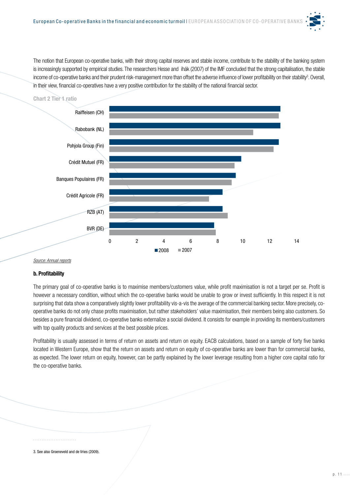The notion that European co-operative banks, with their strong capital reserves and stable income, contribute to the stability of the banking system is increasingly supported by empirical studies. The researchers Hesse and lhák (2007) of the IMF concluded that the strong capitalisation, the stable income of co-operative banks and their prudent risk-management more than offset the adverse influence of lower profitability on their stability<sup>3</sup>. Overall, in their view, financial co-operatives have a very positive contribution for the stability of the national financial sector.



#### *Source: Annual reports*

#### **b. Profitability**

The primary goal of co-operative banks is to maximise members/customers value, while profit maximisation is not a target per se. Profit is however a necessary condition, without which the co-operative banks would be unable to grow or invest sufficiently. In this respect it is not surprising that data show a comparatively slightly lower profitability vis-a-vis the average of the commercial banking sector. More precisely, cooperative banks do not only chase profits maximisation, but rather stakeholders' value maximisation, their members being also customers. So besides a pure financial dividend, co-operative banks externalize a social dividend. It consists for example in providing its members/customers with top quality products and services at the best possible prices.

Profitability is usually assessed in terms of return on assets and return on equity. EACB calculations, based on a sample of forty five banks located in Western Europe, show that the return on assets and return on equity of co-operative banks are lower than for commercial banks, as expected. The lower return on equity, however, can be partly explained by the lower leverage resulting from a higher core capital ratio for the co-operative banks.

3. See also Groeneveld and de Vries (2009).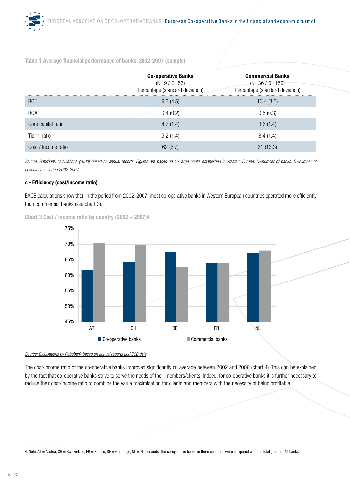**Table 1 Average financial performance of banks, 2002-2007 (sample)** 

|                     | <b>Co-operative Banks</b><br>$(N=9 / 0=53)$<br>Percentage (standard deviation) | <b>Commercial Banks</b><br>$(N=36 / 0=159)$<br>Percentage (standard deviation) |
|---------------------|--------------------------------------------------------------------------------|--------------------------------------------------------------------------------|
| ROE                 | 9.3(4.5)                                                                       | 13.4(8.5)                                                                      |
| <b>ROA</b>          | 0.4(0.2)                                                                       | 0.5(0.3)                                                                       |
| Core capital ratio  | 4.7(1.4)                                                                       | 3.6(1.4)                                                                       |
| Tier 1 ratio        | 9.2(1.4)                                                                       | 8.4(1.4)                                                                       |
| Cost / Income ratio | 62(6.7)                                                                        | 61(13.3)                                                                       |

Source: Rabobank calculations (2008) based on annual reports. Figures are based on 45 large banks established in Western Europe. N=number of banks. O=number of *observations during 2002-2007.*

#### **c - Efficiency (cost/income ratio)**

EACB calculations show that, in the period from 2002-2007, most co-operative banks in Western European countries operated more efficiently than commercial banks (see chart 3).

**Chart 3 Cost / income ratio by country (2002 – 2007)4**



#### *Source: Calculations by Rabobank based on annual reports and ECB data*

The cost/income ratio of the co-operative banks improved significantly on average between 2002 and 2006 (chart 4). This can be explained by the fact that co-operative banks strive to serve the needs of their members/clients. Indeed, for co-operative banks it is further necessary to reduce their cost/income ratio to combine the value maximisation for clients and members with the necessity of being profitable.

#### 

4. Note: AT = Austria, CH = Switzerland, FR = France, DE = Germany , NL = Netherlands. The co-operative banks in these countries were compared with the total group of 45 banks.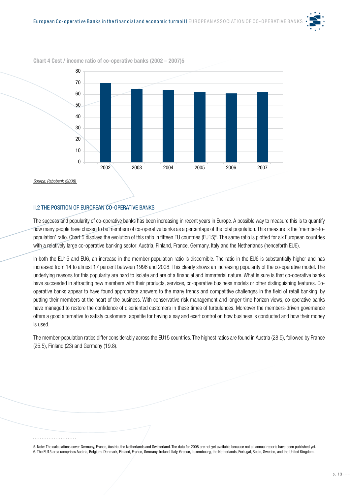



**Chart 4 Cost / income ratio of co-operative banks (2002 – 2007)5**

#### II.2 THE POSITION OF EUROPEAN CO-OPERATIVE BANKS

The success and popularity of co-operative banks has been increasing in recent years in Europe. A possible way to measure this is to quantify how many people have chosen to be members of co-operative banks as a percentage of the total population. This measure is the 'member-topopulation' ratio. Chart 5 displays the evolution of this ratio in fifteen EU countries (EU15)<sup>6</sup>. The same ratio is plotted for six European countries with a relatively large co-operative banking sector: Austria, Finland, France, Germany, Italy and the Netherlands (henceforth EU6).

In both the EU15 and EU6, an increase in the member-population ratio is discernible. The ratio in the EU6 is substantially higher and has increased from 14 to almost 17 percent between 1996 and 2008. This clearly shows an increasing popularity of the co-operative model. The underlying reasons for this popularity are hard to isolate and are of a financial and immaterial nature. What is sure is that co-operative banks have succeeded in attracting new members with their products, services, co-operative business models or other distinguishing features. Cooperative banks appear to have found appropriate answers to the many trends and competitive challenges in the field of retail banking, by putting their members at the heart of the business. With conservative risk management and longer-time horizon views, co-operative banks have managed to restore the confidence of disoriented customers in these times of turbulences. Moreover the members-driven governance offers a good alternative to satisfy customers' appetite for having a say and exert control on how business is conducted and how their money is used.

The member-population ratios differ considerably across the EU15 countries. The highest ratios are found in Austria (28.5), followed by France (25.5), Finland (23) and Germany (19.8).

5. Note: The calculations cover Germany, France, Austria, the Netherlands and Switzerland. The data for 2008 are not yet available because not all annual reports have been published yet. 6. The EU15 area comprises Austria, Belgium, Denmark, Finland, France, Germany, Ireland, Italy, Greece, Luxembourg, the Netherlands, Portugal, Spain, Sweden, and the United Kingdom.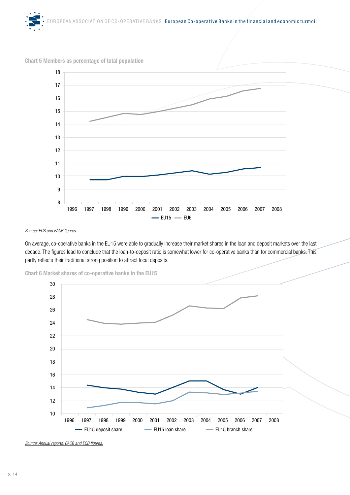

#### **Chart 5 Members as percentage of total population**



#### *Source: ECB and EACB figures.*

On average, co-operative banks in the EU15 were able to gradually increase their market shares in the loan and deposit markets over the last decade. The figures lead to conclude that the loan-to-deposit ratio is somewhat lower for co-operative banks than for commercial banks. This partly reflects their traditional strong position to attract local deposits.





*Source: Annual reports, EACB and ECB figures.*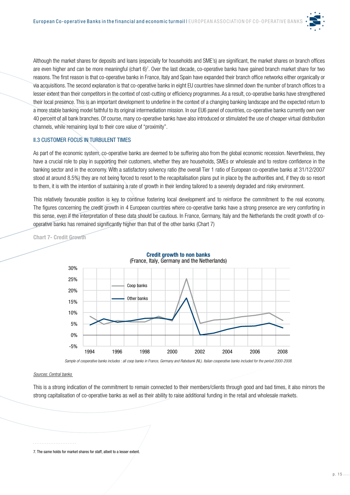

Although the market shares for deposits and loans (especially for households and SME's) are significant, the market shares on branch offices are even higher and can be more meaningful (chart 6)<sup>7</sup>. Over the last decade, co-operative banks have gained branch market share for two reasons. The first reason is that co-operative banks in France, Italy and Spain have expanded their branch office networks either organically or via acquisitions. The second explanation is that co-operative banks in eight EU countries have slimmed down the number of branch offices to a lesser extent than their competitors in the context of cost-cutting or efficiency programmes. As a result, co-operative banks have strengthened their local presence. This is an important development to underline in the context of a changing banking landscape and the expected return to a more stable banking model faithful to its original intermediation mission. In our EU6 panel of countries, co-operative banks currently own over 40 percent of all bank branches. Of course, many co-operative banks have also introduced or stimulated the use of cheaper virtual distribution channels, while remaining loyal to their core value of "proximity".

#### **II.3 CUSTOMER FOCUS IN TURBULENT TIMES**

As part of the economic system, co-operative banks are deemed to be suffering also from the global economic recession. Nevertheless, they have a crucial role to play in supporting their customers, whether they are households, SMEs or wholesale and to restore confidence in the banking sector and in the economy. With a satisfactory solvency ratio (the overall Tier 1 ratio of European co-operative banks at 31/12/2007 stood at around 8.5%) they are not being forced to resort to the recapitalisation plans put in place by the authorities and, if they do so resort to them, it is with the intention of sustaining a rate of growth in their lending tailored to a severely degraded and risky environment.

This relatively favourable position is key to continue fostering local development and to reinforce the commitment to the real economy. The figures concerning the credit growth in 4 European countries where co-operative banks have a strong presence are very comforting in this sense, even if the interpretation of these data should be cautious. In France, Germany, Italy and the Netherlands the credit growth of cooperative banks has remained significantly higher than that of the other banks (Chart 7)

**Chart 7- Credit Growth**



#### (France, Italy, Germany and the Netherlands) **Credit growth to non banks**

Sample of cooperative banks includes : all coop banks in France, Germany and Rabobank (NL). Italian cooperative banks included for the period 2000-2008.

#### *Sources: Central banks*

This is a strong indication of the commitment to remain connected to their members/clients through good and bad times, it also mirrors the strong capitalisation of co-operative banks as well as their ability to raise additional funding in the retail and wholesale markets.

7. The same holds for market shares for staff, albeit to a lesser extent.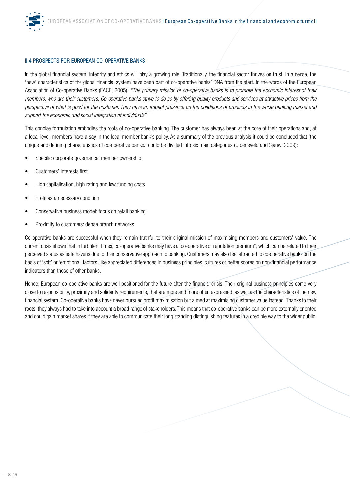

#### II.4 PROSPECTS FOR EUROPEAN CO-OPERATIVE BANKS

In the global financial system, integrity and ethics will play a growing role. Traditionally, the financial sector thrives on trust. In a sense, the 'new' characteristics of the global financial system have been part of co-operative banks' DNA from the start. In the words of the European Association of Co-operative Banks (EACB, 2005): *"The primary mission of co-operative banks is to promote the economic interest of their members, who are their customers. Co-operative banks strive to do so by offering quality products and services at attractive prices from the perspective of what is good for the customer. They have an impact presence on the conditions of products in the whole banking market and support the economic and social integration of individuals".*

This concise formulation embodies the roots of co-operative banking. The customer has always been at the core of their operations and, at a local level, members have a say in the local member bank's policy. As a summary of the previous analysis it could be concluded that 'the unique and defining characteristics of co-operative banks.' could be divided into six main categories (Groeneveld and Sjauw, 2009):

- Specific corporate governance: member ownership
- Customers' interests first
- High capitalisation, high rating and low funding costs
- Profit as a necessary condition
- Conservative business model: focus on retail banking
- Proximity to customers: dense branch networks

Co-operative banks are successful when they remain truthful to their original mission of maximising members and customers' value. The current crisis shows that in turbulent times, co-operative banks may have a 'co-operative or reputation premium", which can be related to their perceived status as safe havens due to their conservative approach to banking. Customers may also feel attracted to co-operative banks on the basis of 'soft' or 'emotional' factors, like appreciated differences in business principles, cultures or better scores on non-financial performance indicators than those of other banks.

Hence, European co-operative banks are well positioned for the future after the financial crisis. Their original business principles come very close to responsibility, proximity and solidarity requirements, that are more and more often expressed, as well as the characteristics of the new financial system. Co-operative banks have never pursued profit maximisation but aimed at maximising customer value instead. Thanks to their roots, they always had to take into account a broad range of stakeholders. This means that co-operative banks can be more externally oriented and could gain market shares if they are able to communicate their long standing distinguishing features in a credible way to the wider public.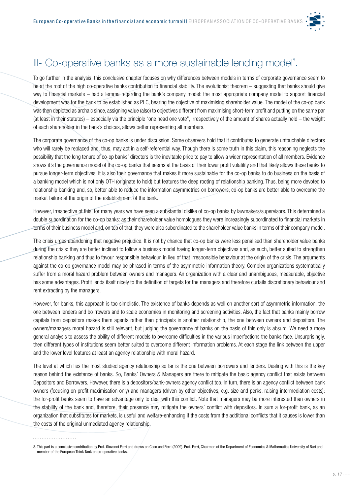

# III- Co-operative banks as a more sustainable lending model<sup>®</sup>.

To go further in the analysis, this conclusive chapter focuses on why differences between models in terms of corporate governance seem to be at the root of the high co-operative banks contribution to financial stability. The evolutionist theorem – suggesting that banks should give way to financial markets – had a lemma regarding the bank's company model: the most appropriate company model to support financial development was for the bank to be established as PLC, bearing the objective of maximising shareholder value. The model of the co-op bank was then depicted as archaic since, assigning value (also) to objectives different from maximising short-term profit and putting on the same par (at least in their statutes) – especially via the principle "one head one vote", irrespectively of the amount of shares actually held – the weight of each shareholder in the bank's choices, allows better representing all members.

The corporate governance of the co-op banks is under discussion. Some observers hold that it contributes to generate untouchable directors who will rarely be replaced and, thus, may act in a self-referential way. Though there is some truth in this claim, this reasoning neglects the possibility that the long tenure of co-op banks' directors is the inevitable price to pay to allow a wider representation of all members. Evidence shows it's the governance model of the co-op banks that seems at the basis of their lower profit volatility and that likely allows these banks to pursue longer-term objectives. It is also their governance that makes it more sustainable for the co-op banks to do business on the basis of a banking model which is not only OTH (originate to hold) but features the deep rooting of relationship banking. Thus, being more devoted to relationship banking and, so, better able to reduce the information asymmetries on borrowers, co-op banks are better able to overcome the market failure at the origin of the establishment of the bank.

However, irrespective of this, for many years we have seen a substantial dislike of co-op banks by lawmakers/supervisors. This determined a double subordination for the co-op banks: as their shareholder value homologues they were increasingly subordinated to financial markets in terms of their business model and, on top of that, they were also subordinated to the shareholder value banks in terms of their company model.

The crisis urges abandoning that negative prejudice. It is not by chance that co-op banks were less penalised than shareholder value banks during the crisis: they are better inclined to follow a business model having longer-term objectives and, as such, better suited to strengthen relationship banking and thus to favour responsible behaviour, in lieu of that irresponsible behaviour at the origin of the crisis. The arguments against the co-op governance model may be phrased in terms of the asymmetric information theory. Complex organizations systematically suffer from a moral hazard problem between owners and managers. An organization with a clear and unambiguous, measurable, objective has some advantages. Profit lends itself nicely to the definition of targets for the managers and therefore curtails discretionary behaviour and rent extracting by the managers.

However, for banks, this approach is too simplistic. The existence of banks depends as well on another sort of asymmetric information, the one between lenders and bo rrowers and to scale economies in monitoring and screening activities. Also, the fact that banks mainly borrow capitals from depositors makes them agents rather than principals in another relationship, the one between owners and depositors. The owners/managers moral hazard is still relevant, but judging the governance of banks on the basis of this only is absurd. We need a more general analysis to assess the ability of different models to overcome difficulties in the various imperfections the banks face. Unsurprisingly, then different types of institutions seem better suited to overcome different information problems. At each stage the link between the upper and the lower level features at least an agency relationship with moral hazard.

The level at which lies the most studied agency relationship so far is the one between borrowers and lenders. Dealing with this is the key reason behind the existence of banks. So, Banks' Owners & Managers are there to mitigate the basic agency conflict that exists between Depositors and Borrowers. However, there is a depositors/bank-owners agency conflict too. In turn, there is an agency conflict between bank owners (focusing on profit maximisation only) and managers (driven by other objectives, e.g. size and perks, raising intermediation costs): the for-profit banks seem to have an advantage only to deal with this conflict. Note that managers may be more interested than owners in the stability of the bank and, therefore, their presence may mitigate the owners' conflict with depositors. In sum a for-profit bank, as an organization that substitutes for markets, is useful and welfare-enhancing if the costs from the additional conflicts that it causes is lower than the costs of the original unmediated agency relationship.

<sup>8.</sup> This part is a conclusive contribution by Prof. Giovanni Ferri and draws on Coco and Ferri (2009). Prof. Ferri, Chairman of the Department of Economics & Mathematics University of Bari and member of the European Think Tank on co-operative banks.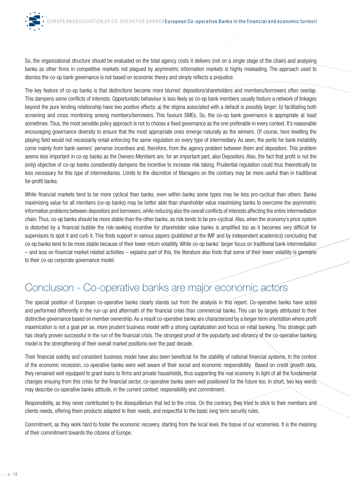So, the organizational structure should be evaluated on the total agency costs it delivers (not on a single stage of the chain) and analysing banks as other firms in competitive markets not plagued by asymmetric information markets is highly misleading. The approach used to dismiss the co-op bank governance is not based on economic theory and simply reflects a prejudice.

The key feature of co-op banks is that distinctions become more blurred: depositors/shareholders and members/borrowers often overlap. This dampens some conflicts of interests. Opportunistic behaviour is less likely as co-op bank members usually feature a network of linkages beyond the pure lending relationship have two positive effects: a) the stigma associated with a default is possibly larger; b) facilitating both screening and cross monitoring among members/borrowers. This favours SMEs. So, the co-op bank governance is appropriate at least sometimes. Thus, the most sensible policy approach is not to choose a fixed governance as the one preferable in every context. It's reasonable encouraging governance diversity to ensure that the most appropriate ones emerge naturally as the winners. Of course, here levelling the playing field would not necessarily entail enforcing the same regulation on every type of intermediary. As seen, the perils for bank instability come mainly from bank owners' perverse incentives and, therefore, from the agency problem between them and depositors. This problem seems less important in co-op banks as the Owners-Members are, for an important part, also Depositors. Also, the fact that profit is not the (only) objective of co-op banks considerably dampens the incentive to increase risk taking. Prudential regulation could thus theoretically be less necessary for this type of intermediaries. Limits to the discretion of Managers on the contrary may be more useful than in traditional for-profit banks.

While financial markets tend to be more cyclical than banks, even within banks some types may be less pro-cyclical than others. Banks maximising value for all members (co-op banks) may be better able than shareholder value maximising banks to overcome the asymmetric information problems between depositors and borrowers, while reducing also the overall conflicts of interests affecting the entire intermediation chain. Thus, co-op banks should be more stable than the other banks, as risk tends to be pro-cyclical. Also, when the economy's price system is distorted by a financial bubble the risk-seeking incentive for shareholder value banks is amplified too as it becomes very difficult for supervisors to spot it and curb it. This finds support in various papers (published at the IMF and by independent academics) concluding that co-op banks tend to be more stable because of their lower return volatility. While co-op banks' larger focus on traditional bank intermediation – and less on financial market related activities – explains part of this, the literature also finds that some of their lower volatility is germane to their co-op corporate governance model.

# Conclusion - Co-operative banks are major economic actors

The special position of European co-operative banks clearly stands out from the analysis in this report. Co-operative banks have acted and performed differently in the run-up and aftermath of the financial crisis than commercial banks. This can be largely attributed to their distinctive governance based on member ownership. As a result co-operative banks are characterized by a longer term orientation where profit maximization is not a goal per se, more prudent business model with a strong capitalization and focus on retail banking. This strategic path has clearly proven successful in the run of the financial crisis. The strongest proof of the popularity and vibrancy of the co-operative banking model is the strengthening of their overall market positions over the past decade.

Their financial solidity and consistent business model have also been beneficial for the stability of national financial systems. In the context of the economic recession, co-operative banks were well aware of their social and economic responsibility. Based on credit growth data, they remained well equipped to grant loans to firms and private households, thus supporting the real economy. In light of all the fundamental changes ensuing from this crisis for the financial sector, co-operative banks seem well positioned for the future too. In short, two key words may describe co-operative banks attitude, in the current context: responsibility and commitment.

Responsibility, as they never contributed to the disequilibrium that led to the crisis. On the contrary, they tried to stick to their members and clients needs, offering them products adapted to their needs, and respectful to the basic long term security rules.

Commitment, as they work hard to foster the economic recovery, starting from the local level, the tissue of our economies. It is the meaning of their commitment towards the citizens of Europe.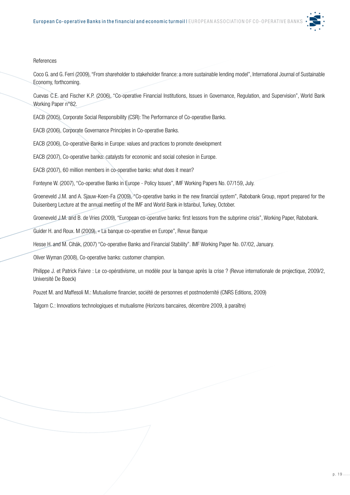

#### References

Coco G. and G. Ferri (2009), "From shareholder to stakeholder finance: a more sustainable lending model", International Journal of Sustainable Economy, forthcoming.

Cuevas C.E. and Fischer K.P. (2006), "Co-operative Financial Institutions, Issues in Governance, Regulation, and Supervision", World Bank Working Paper n°82.

EACB (2005), Corporate Social Responsibility (CSR): The Performance of Co-operative Banks.

EACB (2006), Corporate Governance Principles in Co-operative Banks.

EACB (2006), Co-operative Banks in Europe: values and practices to promote development

EACB (2007), Co-operative banks: catalysts for economic and social cohesion in Europe.

EACB (2007), 60 million members in co-operative banks: what does it mean?

Fonteyne W. (2007), "Co-operative Banks in Europe - Policy Issues", IMF Working Papers No. 07/159, July.

Groeneveld J.M. and A. Sjauw-Koen-Fa (2009), "Co-operative banks in the new financial system", Rabobank Group, report prepared for the Duisenberg Lecture at the annual meeting of the IMF and World Bank in Istanbul, Turkey, October.

Groeneveld J.M. and B. de Vries (2009), "European co-operative banks: first lessons from the subprime crisis", Working Paper, Rabobank.

Guider H. and Roux. M (2009), « La banque co-operative en Europe", Revue Banque

Hesse H. and M. Cihák, (2007) "Co-operative Banks and Financial Stability". IMF Working Paper No. 07/02, January.

Oliver Wyman (2008), Co-operative banks: customer champion.

Philippe J. et Patrick Faivre : Le co-opérativisme, un modèle pour la banque après la crise ? (Revue internationale de projectique, 2009/2, Université De Boeck)

Pouzet M. and Maffesoli M.: Mutualisme financier, société de personnes et postmodernité (CNRS Editions, 2009)

Talgorn C.: Innovations technologiques et mutualisme (Horizons bancaires, décembre 2009, à paraïtre)